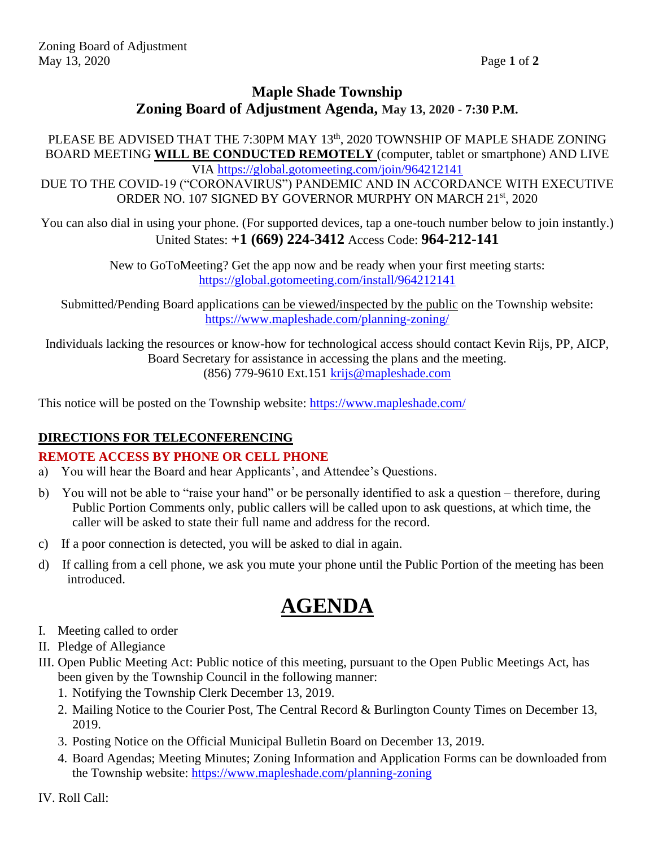# **Maple Shade Township Zoning Board of Adjustment Agenda, May 13, 2020 - 7:30 P.M.**

## PLEASE BE ADVISED THAT THE 7:30PM MAY 13<sup>th</sup>, 2020 TOWNSHIP OF MAPLE SHADE ZONING BOARD MEETING **WILL BE CONDUCTED REMOTELY** (computer, tablet or smartphone) AND LIVE VIA<https://global.gotomeeting.com/join/964212141>

DUE TO THE COVID-19 ("CORONAVIRUS") PANDEMIC AND IN ACCORDANCE WITH EXECUTIVE ORDER NO. 107 SIGNED BY GOVERNOR MURPHY ON MARCH 21st, 2020

You can also dial in using your phone. (For supported devices, tap a one-touch number below to join instantly.) United States: **+1 (669) 224-3412** Access Code: **964-212-141**

> New to GoToMeeting? Get the app now and be ready when your first meeting starts: <https://global.gotomeeting.com/install/964212141>

Submitted/Pending Board applications can be viewed/inspected by the public on the Township website: <https://www.mapleshade.com/planning-zoning/>

Individuals lacking the resources or know-how for technological access should contact Kevin Rijs, PP, AICP, Board Secretary for assistance in accessing the plans and the meeting. (856) 779-9610 Ext.151 [krijs@mapleshade.com](mailto:krijs@mapleshade.com)

This notice will be posted on the Township website:<https://www.mapleshade.com/>

## **DIRECTIONS FOR TELECONFERENCING**

## **REMOTE ACCESS BY PHONE OR CELL PHONE**

- a) You will hear the Board and hear Applicants', and Attendee's Questions.
- b) You will not be able to "raise your hand" or be personally identified to ask a question therefore, during Public Portion Comments only, public callers will be called upon to ask questions, at which time, the caller will be asked to state their full name and address for the record.
- c) If a poor connection is detected, you will be asked to dial in again.
- d) If calling from a cell phone, we ask you mute your phone until the Public Portion of the meeting has been introduced.

# **AGENDA**

- I. Meeting called to order
- II. Pledge of Allegiance
- III. Open Public Meeting Act: Public notice of this meeting, pursuant to the Open Public Meetings Act, has been given by the Township Council in the following manner:
	- 1. Notifying the Township Clerk December 13, 2019.
	- 2. Mailing Notice to the Courier Post, The Central Record & Burlington County Times on December 13, 2019.
	- 3. Posting Notice on the Official Municipal Bulletin Board on December 13, 2019.
	- 4. Board Agendas; Meeting Minutes; Zoning Information and Application Forms can be downloaded from the Township website:<https://www.mapleshade.com/planning-zoning>

IV. Roll Call: